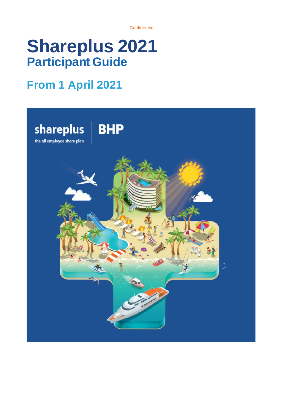**Confidential** 

# **Shareplus 2021 Participant Guide**

## **From 1 April 2021**

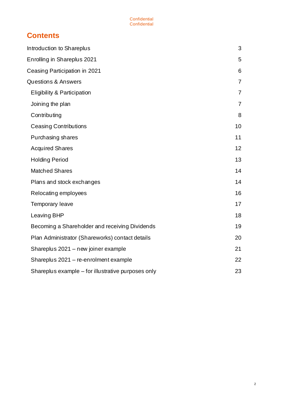## **Contents**

| Introduction to Shareplus                          | 3              |
|----------------------------------------------------|----------------|
| Enrolling in Shareplus 2021                        | 5              |
| Ceasing Participation in 2021                      | 6              |
| <b>Questions &amp; Answers</b>                     | $\overline{7}$ |
| <b>Eligibility &amp; Participation</b>             | $\overline{7}$ |
| Joining the plan                                   | 7              |
| Contributing                                       | 8              |
| <b>Ceasing Contributions</b>                       | 10             |
| Purchasing shares                                  | 11             |
| <b>Acquired Shares</b>                             | 12             |
| <b>Holding Period</b>                              | 13             |
| <b>Matched Shares</b>                              | 14             |
| Plans and stock exchanges                          | 14             |
| Relocating employees                               | 16             |
| Temporary leave                                    | 17             |
| Leaving BHP                                        | 18             |
| Becoming a Shareholder and receiving Dividends     | 19             |
| Plan Administrator (Shareworks) contact details    | 20             |
| Shareplus 2021 - new joiner example                | 21             |
| Shareplus 2021 - re-enrolment example              | 22             |
| Shareplus example – for illustrative purposes only | 23             |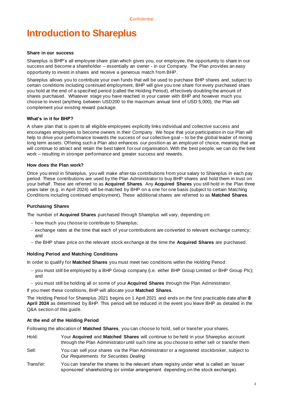## <span id="page-2-0"></span>**Introduction to Shareplus**

#### **Share in our success**

Shareplus is BHP's all employee share plan which gives you, our employee, the opportunity to share in our success and become a shareholder – essentially an owner - in our Company. The Plan provides an easy opportunity to invest in shares and receive a generous match from BHP.

Shareplus allows you to contribute your own funds that will be used to purchase BHP shares and, subject to certain conditions including continued employment, BHP will give you one share for every purchased share you hold at the end of a specified period (called the Holding Period), effectively doubling the amount of shares purchased. Whatever stage you have reached in your career with BHP and however much you choose to invest (anything between USD200 to the maximum annual limit of USD 5,000), the Plan will complement your existing reward package.

## **What's in it for BHP?**

A share plan that is open to all eligible employees explicitly links individual and collective success and encourages employees to become owners in their Company. We hope that your participation in our Plan will help to drive your performance towards the success of our collective goal – to be the global leader of mining long term assets. Offering such a Plan also enhances our position as an employer of choice, meaning that we will continue to attract and retain the best talent for our organisation. With the best people, we can do the best work – resulting in stronger performance and greater success and rewards.

#### **How does the Plan work?**

Once you enrol in Shareplus, you will make after-tax contributions from your salary to Shareplus in each pay period. These contributions are used by the Plan Administrator to buy BHP shares and hold them in trust on your behalf. These are referred to as **Acquired Shares**. Any **Acquired Shares** you still hold in the Plan three years later (e.g. in April 2024) will be matched by BHP on a one for one basis (subject to certain Matching Conditions including continued employment). These additional shares are referred to as **Matched Shares**.

## **Purchasing Shares**

The number of **Acquired Shares** purchased through Shareplus will vary, depending on:

- − how much you choose to contribute to Shareplus;
- − exchange rates at the time that each of your contributions are converted to relevant exchange currency; and
- − the BHP share price on the relevant stock exchange at the time the **Acquired Shares** are purchased.

## **Holding Period and Matching Conditions**

In order to qualify for **Matched Shares** you must meet two conditions within the Holding Period:

- − you must still be employed by a BHP Group company (i.e. either BHP Group Limited or BHP Group Plc); and
- − you must still be holding all or some of your **Acquired Shares** through the Plan Administrator.

If you meet these conditions, BHP will allocate your **Matched Shares**.

The Holding Period for Shareplus 2021 begins on 1 April 2021 and ends on the first practicable date after **8 April 2024** as determined by BHP. This period will be reduced in the event you leave BHP as detailed in the Q&A section of this guide.

## **At the end of the Holding Period**

Following the allocation of **Matched Shares**, you can choose to hold, sell or transfer your shares.

- Hold: Your **Acquired** and **Matched Shares** will continue to be held in your Shareplus account through the Plan Administrator until such time as you choose to either sell or transfer them
- Sell: You can sell your shares via the Plan Administrator or a registered stockbroker, subject to *Our Requirements for Securities Dealing*
- Transfer: You can transfer the shares to the relevant share registry under what is called an 'issuer sponsored' shareholding (or similar arrangement depending on the stock exchange).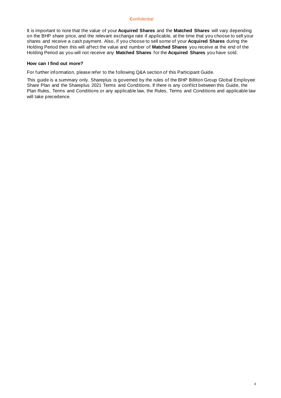## **C**onfidential

It is important to note that the value of your **Acquired Shares** and the **Matched Shares** will vary depending on the BHP share price, and the relevant exchange rate if applicable, at the time that you choose to sell your shares and receive a cash payment. Also, if you choose to sell some of your **Acquired Shares** during the Holding Period then this will affect the value and number of **Matched Shares** you receive at the end of the Holding Period as you will not receive any **Matched Shares** for the **Acquired Shares** you have sold.

## **How can I find out more?**

For further information, please refer to the following Q&A section of this Participant Guide.

<span id="page-3-0"></span>This guide is a summary only. Shareplus is governed by the rules of the BHP Billiton Group Global Employee Share Plan and the Shareplus 2021 Terms and Conditions. If there is any conflict between this Guide, the Plan Rules, Terms and Conditions or any applicable law, the Rules, Terms and Conditions and applicable law will take precedence.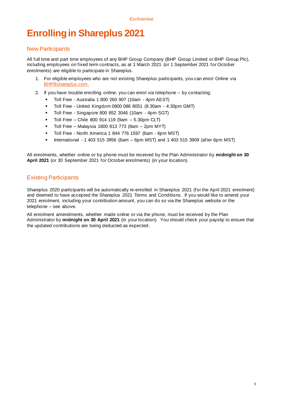## **Enrolling in Shareplus 2021**

## New Participants

All full time and part time employees of any BHP Group Company (BHP Group Limited or BHP Group Plc), including employees on fixed term contracts, as at 1 March 2021 (or 1 September 2021 for October enrolments) are eligible to participate in Shareplus.

- 1. For eligible employees who are not existing Shareplus participants, you can enrol Online via [BHPBshareplus.com.](http://www.bhpbshareplus.com/)
- 2. If you have trouble enrolling online, you can enrol via telephone by contacting:
	- Toll Free Australia 1 800 260 907 (10am 4pm AEST)
	- Toll Free United Kingdom 0800 086 8051 (8:30am 4:30pm GMT)
	- Toll Free Singapore 800 852 3046 (10am 4pm SGT)
	- Toll Free Chile 800 914 119 (9am 5.30pm CLT)
	- Toll Free Malaysia 1800 813 773 (8am 2pm MYT)
	- Toll Free North America 1 844 776 1597 (6am 6pm MST)
	- International 1 403 515 3956 (6am 6pm MST) and 1 403 515 3909 (after 6pm MST)

All enrolments, whether online or by phone must be received by the Plan Administrator by **midnight on 30 April 2021** (or 30 September 2021 for October enrolments) (in your location).

## Existing Participants

Shareplus 2020 participants will be automatically re-enrolled in Shareplus 2021 (for the April 2021 enrolment) and deemed to have accepted the Shareplus 2021 Terms and Conditions. If you would like to amend your 2021 enrolment, including your contribution amount, you can do so via the Shareplus website or the telephone – see above.

All enrolment amendments, whether made online or via the phone, must be received by the Plan Administrator by **midnight on 30 April 2021** (in your location). You should check your payslip to ensure that the updated contributions are being deducted as expected.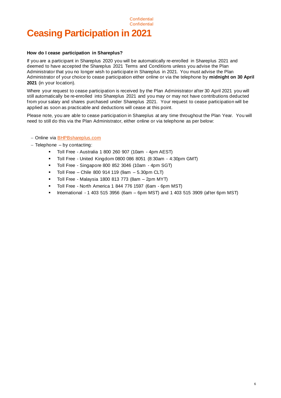## <span id="page-5-0"></span>**Confidential Ceasing Participation in 2021**

## **How do I cease participation in Shareplus?**

If you are a participant in Shareplus 2020 you will be automatically re-enrolled in Shareplus 2021 and deemed to have accepted the Shareplus 2021 Terms and Conditions unless you advise the Plan Administrator that you no longer wish to participate in Shareplus in 2021. You must advise the Plan Administrator of your choice to cease participation either online or via the telephone by **midnight on 30 April 2021** (in your location).

**Confidential** 

Where your request to cease participation is received by the Plan Administrator after 30 April 2021 you will still automatically be re-enrolled into Shareplus 2021 and you may or may not have contributions deducted from your salary and shares purchased under Shareplus 2021. Your request to cease participation will be applied as soon as practicable and deductions will cease at this point.

Please note, you are able to cease participation in Shareplus at any time throughout the Plan Year. You will need to still do this via the Plan Administrator, either online or via telephone as per below:

- − Online via [BHPBshareplus.com](http://www.bhpbshareplus.com/)
- − Telephone by contacting:
	- Toll Free Australia 1 800 260 907 (10am 4pm AEST)
	- Toll Free United Kingdom 0800 086 8051 (8:30am 4:30pm GMT)
	- Toll Free Singapore 800 852 3046 (10am 4pm SGT)
	- $\blacksquare$  Toll Free Chile 800 914 119 (9am 5.30pm CLT)
	- Toll Free Malaysia 1800 813 773 (8am 2pm MYT)
	- Toll Free North America 1 844 776 1597 (6am 6pm MST)
	- International 1 403 515 3956 (6am 6pm MST) and 1 403 515 3909 (after 6pm MST)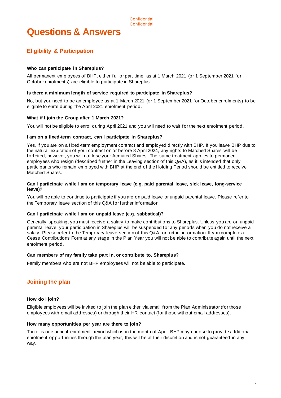## <span id="page-6-1"></span><span id="page-6-0"></span>**Eligibility & Participation**

## **Who can participate in Shareplus?**

All permanent employees of BHP, either full or part time, as at 1 March 2021 (or 1 September 2021 for October enrolments) are eligible to participate in Shareplus.

## **Is there a minimum length of service required to participate in Shareplus?**

No, but you need to be an employee as at 1 March 2021 (or 1 September 2021 for October enrolments) to be eligible to enrol during the April 2021 enrolment period.

## **What if I join the Group after 1 March 2021?**

You will not be eligible to enrol during April 2021 and you will need to wait for the next enrolment period.

## **I am on a fixed-term contract, can I participate in Shareplus?**

Yes, if you are on a fixed-term employment contract and employed directly with BHP. If you leave BHP due to the natural expiration of your contract on or before 8 April 2024, any rights to Matched Shares will be forfeited, however, you will not lose your Acquired Shares. The same treatment applies to permanent employees who resign (described further in the Leaving section of this Q&A), as it is intended that only participants who remain employed with BHP at the end of the Holding Period should be entitled to receive Matched Shares.

## **Can I participate while I am on temporary leave (e.g. paid parental leave, sick leave, long-service leave)?**

You will be able to continue to participate if you are on paid leave or unpaid parental leave. Please refer to the Temporary leave section of this Q&A for further information.

## **Can I participate while I am on unpaid leave (e.g. sabbatical)?**

Generally speaking, you must receive a salary to make contributions to Shareplus. Unless you are on unpaid parental leave, your participation in Shareplus will be suspended for any periods when you do not receive a salary. Please refer to the Temporary leave section of this Q&A for further information. If you complete a Cease Contributions Form at any stage in the Plan Year you will not be able to contribute again until the next enrolment period.

## **Can members of my family take part in, or contribute to, Shareplus?**

Family members who are not BHP employees will not be able to participate.

## <span id="page-6-2"></span>**Joining the plan**

## **How do I join?**

Eligible employees will be invited to join the plan either via email from the Plan Administrator (for those employees with email addresses) or through their HR contact (for those without email addresses).

## **How many opportunities per year are there to join?**

There is one annual enrolment period which is in the month of April. BHP may choose to provide additional enrolment opportunities through the plan year, this will be at their discretion and is not guaranteed in any way.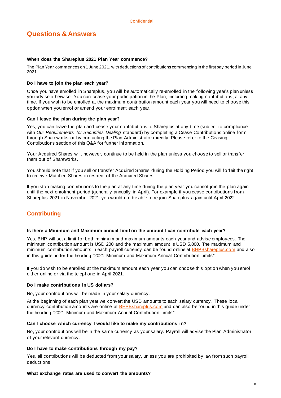## **When does the Shareplus 2021 Plan Year commence?**

The Plan Year commences on 1 June 2021, with deductions of contributions commencing in the first pay period in June 2021.

## **Do I have to join the plan each year?**

Once you have enrolled in Shareplus, you will be automatically re-enrolled in the following year's plan unless you advise otherwise. You can cease your participation in the Plan, including making contributions, at any time. If you wish to be enrolled at the maximum contribution amount each year you will need to choose this option when you enrol or amend your enrolment each year.

## **Can I leave the plan during the plan year?**

Yes, you can leave the plan and cease your contributions to Shareplus at any time (subject to compliance with *Our Requirements for Securities Dealing* standard) by completing a Cease Contributions online form through Shareworks or by contacting the Plan Administrator directly. Please refer to the Ceasing Contributions section of this Q&A for further information.

Your Acquired Shares will, however, continue to be held in the plan unless you choose to sell or transfer them out of Shareworks.

You should note that if you sell or transfer Acquired Shares during the Holding Period you will forfeit the right to receive Matched Shares in respect of the Acquired Shares.

If you stop making contributions to the plan at any time during the plan year you cannot join the plan again until the next enrolment period (generally annually in April). For example if you cease contributions from Shareplus 2021 in November 2021 you would not be able to re-join Shareplus again until April 2022.

## <span id="page-7-0"></span>**Contributing**

## **Is there a Minimum and Maximum annual limit on the amount I can contribute each year?**

Yes, BHP will set a limit for both minimum and maximum amounts each year and advise employees. The minimum contribution amount is USD 200 and the maximum amount is USD 5,000. The maximum and minimum contribution amounts in each payroll currency can be found online at **BHPBshareplus.com** and also in this guide under the heading "2021 Minimum and Maximum Annual Contribution Limits".

If you do wish to be enrolled at the maximum amount each year you can choose this option when you enrol either online or via the telephone in April 2021.

## **Do I make contributions in US dollars?**

No, your contributions will be made in your salary currency.

At the beginning of each plan year we convert the USD amounts to each salary currency . These local currency contribution amounts are online at **BHPBshareplus.com** and can also be found in this guide under the heading "2021 Minimum and Maximum Annual Contribution Limits".

## **Can I choose which currency I would like to make my contributions in?**

No, your contributions will be in the same currency as your salary. Payroll will advise the Plan Administrator of your relevant currency.

## **Do I have to make contributions through my pay?**

Yes, all contributions will be deducted from your salary, unless you are prohibited by law from such payroll deductions.

## **What exchange rates are used to convert the amounts?**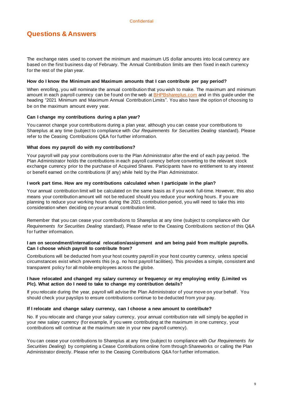The exchange rates used to convert the minimum and maximum US dollar amounts into local currency are based on the first business day of February. The Annual Contribution limits are then fixed in each currency for the rest of the plan year.

## **How do I know the Minimum and Maximum amounts that I can contribute per pay period?**

When enrolling, you will nominate the annual contribution that you wish to make. The maximum and minimum amount in each payroll currency can be found on the web at **BHPBshareplus.com** and in this guide under the heading "2021 Minimum and Maximum Annual Contribution Limits". You also have the option of choosing to be on the maximum amount every year.

## **Can I change my contributions during a plan year?**

You cannot change your contributions during a plan year, although you can cease your contributions to Shareplus at any time (subject to compliance with *Our Requirements for Securities Dealing* standard). Please refer to the Ceasing Contributions Q&A for further information.

## **What does my payroll do with my contributions?**

Your payroll will pay your contributions over to the Plan Administrator after the end of each pay period. The Plan Administrator holds the contributions in each payroll currency before converting to the relevant stock exchange currency prior to the purchase of Acquired Shares. Participants have no entitlement to any interest or benefit earned on the contributions (if any) while held by the Plan Administrator.

#### **I work part time. How are my contributions calculated when I participate in the plan?**

Your annual contribution limit will be calculated on the same basis as if you work full-time. However, this also means your contribution amount will not be reduced should you reduce your working hours. If you are planning to reduce your working hours during the 2021 contribution period, you will need to take this into consideration when deciding on your annual contribution limit.

Remember that you can cease your contributions to Shareplus at any time (subject to compliance with *Our Requirements for Securities Dealing* standard). Please refer to the Ceasing Contributions section of this Q&A for further information.

## **I am on secondment/international relocation/assignment and am being paid from multiple payrolls. Can I choose which payroll to contribute from?**

Contributions will be deducted from your host country payroll in your host country currency, unless special circumstances exist which prevents this (e.g. no host payroll facilities). This provides a simple, consistent and transparent policy for all mobile employees across the globe.

## **I have relocated and changed my salary currency or frequency or my employing entity (Limited vs Plc). What action do I need to take to change my contribution details?**

If you relocate during the year, payroll will advise the Plan Administrator of your move on your behalf. You should check your payslips to ensure contributions continue to be deducted from your pay.

## **If I relocate and change salary currency, can I choose a new amount to contribute?**

No. If you relocate and change your salary currency, your annual contribution rate will simply be applied in your new salary currency (for example, if you were contributing at the maximum in one currency, your contributions will continue at the maximum rate in your new payroll currency).

You can cease your contributions to Shareplus at any time (subject to compliance with *Our Requirements for Securities Dealing*) by completing a Cease Contributions online form through Shareworks or calling the Plan Administrator directly. Please refer to the Ceasing Contributions Q&A for further information.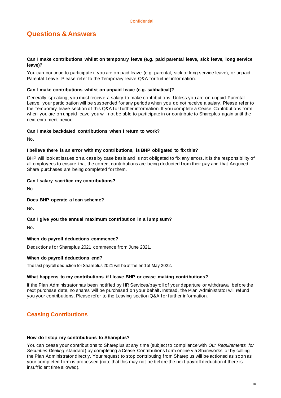## **Can I make contributions whilst on temporary leave (e.g. paid parental leave, sick leave, long service leave)?**

You can continue to participate if you are on paid leave (e.g. parental, sick or long service leave), or unpaid Parental Leave. Please refer to the Temporary leave Q&A for further information.

## **Can I make contributions whilst on unpaid leave (e.g. sabbatical)?**

Generally speaking, you must receive a salary to make contributions. Unless you are on unpaid Parental Leave, your participation will be suspended for any periods when you do not receive a salary. Please refer to the Temporary leave section of this Q&A for further information. If you complete a Cease Contributions form when you are on unpaid leave you will not be able to participate in or contribute to Shareplus again until the next enrolment period.

## **Can I make backdated contributions when I return to work?**

No.

## **I believe there is an error with my contributions, is BHP obligated to fix this?**

BHP will look at issues on a case by case basis and is not obligated to fix any errors. It is the responsibility of all employees to ensure that the correct contributions are being deducted from their pay and that Acquired Share purchases are being completed for them.

## **Can I salary sacrifice my contributions?**

No.

## **Does BHP operate a loan scheme?**

No.

## **Can I give you the annual maximum contribution in a lump sum?**

No.

## **When do payroll deductions commence?**

Deductions for Shareplus 2021 commence from June 2021.

## **When do payroll deductions end?**

The last payroll deduction for Shareplus 2021 will be at the end of May 2022.

## **What happens to my contributions if I leave BHP or cease making contributions?**

If the Plan Administrator has been notified by HR Services/payroll of your departure or withdrawal before the next purchase date, no shares will be purchased on your behalf. Instead, the Plan Administrator will refund you your contributions. Please refer to the Leaving section Q&A for further information.

## <span id="page-9-0"></span>**Ceasing Contributions**

## **How do I stop my contributions to Shareplus?**

You can cease your contributions to Shareplus at any time (subject to compliance with *Our Requirements for Securities Dealing* standard) by completing a Cease Contributions form online via Shareworks or by calling the Plan Administrator directly. Your request to stop contributing from Shareplus will be actioned as soon as your completed form is processed (note that this may not be before the next payroll deduction if there is insufficient time allowed).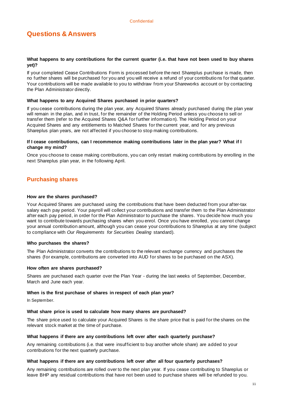## **What happens to any contributions for the current quarter (i.e. that have not been used to buy shares yet)?**

If your completed Cease Contributions Form is processed before the next Shareplus purchase is made, then no further shares will be purchased for you and you will receive a refund of your contributio ns for that quarter. Your contributions will be made available to you to withdraw from your Shareworks account or by contacting the Plan Administrator directly.

## **What happens to any Acquired Shares purchased in prior quarters?**

If you cease contributions during the plan year, any Acquired Shares already purchased during the plan year will remain in the plan, and in trust, for the remainder of the Holding Period unless you choose to sell or transfer them (refer to the Acquired Shares Q&A for further information). The Holding Period on your Acquired Shares and any entitlements to Matched Shares for the current year, and for any previous Shareplus plan years, are not affected if you choose to stop making contributions.

## **If I cease contributions, can I recommence making contributions later in the plan year? What if I change my mind?**

Once you choose to cease making contributions, you can only restart making contributions by enrolling in the next Shareplus plan year, in the following April.

## <span id="page-10-0"></span>**Purchasing shares**

## **How are the shares purchased?**

Your Acquired Shares are purchased using the contributions that have been deducted from your after-tax salary each pay period. Your payroll will collect your contributions and transfer them to the Plan Administrator after each pay period, in order for the Plan Administrator to purchase the shares. You decide how much you want to contribute towards purchasing shares when you enrol. Once you have enrolled, you cannot change your annual contribution amount, although you can cease your contributions to Shareplus at any time (subject to compliance with *Our Requirements for Securities Dealing* standard).

## **Who purchases the shares?**

The Plan Administrator converts the contributions to the relevant exchange currency and purchases the shares (for example, contributions are converted into AUD for shares to be purchased on the ASX).

## **How often are shares purchased?**

Shares are purchased each quarter over the Plan Year - during the last weeks of September, December, March and June each year.

## **When is the first purchase of shares in respect of each plan year?**

In September.

## **What share price is used to calculate how many shares are purchased?**

The share price used to calculate your Acquired Shares is the share price that is paid for the shares on the relevant stock market at the time of purchase.

## **What happens if there are any contributions left over after each quarterly purchase?**

Any remaining contributions (i.e. that were insufficient to buy another whole share) are added to your contributions for the next quarterly purchase.

## **What happens if there are any contributions left over after all four quarterly purchases?**

Any remaining contributions are rolled over to the next plan year. If you cease contributing to Shareplus or leave BHP any residual contributions that have not been used to purchase shares will be refunded to you.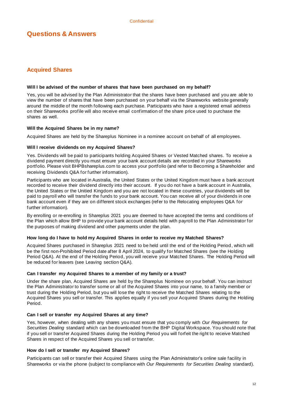## <span id="page-11-0"></span>**Acquired Shares**

## **Will I be advised of the number of shares that have been purchased on my behalf?**

Yes, you will be advised by the Plan Administrator that the shares have been purchased and you are able to view the number of shares that have been purchased on your behalf via the Shareworks website generally around the middle of the month following each purchase. Participants who have a registered email address on their Shareworks profile will also receive email confirmation of the share price used to purchase the shares as well.

## **Will the Acquired Shares be in my name?**

Acquired Shares are held by the Shareplus Nominee in a nominee account on behalf of all employees.

## **Will I receive dividends on my Acquired Shares?**

Yes. Dividends will be paid to participants holding Acquired Shares or Vested Matched shares. To receive a dividend payment directly you must ensure your bank account details are recorded in your Shareworks portfolio. Please visit BHPBshareplus.com to access your portfolio (and refer to Becoming a Shareholder and receiving Dividends Q&A for further information).

Participants who are located in Australia, the United States or the United Kingdom must have a bank account recorded to receive their dividend directly into their account. If you do not have a bank account in Australia, the United States or the Unitied Kingdom and you are not located in these countries, your dividends will be paid to payroll who will transfer the funds to your bank account. You can receive all of your dividends in one bank account even if they are on different stock exchanges (refer to the Relocating employees Q&A for further information).

By enrolling or re-enrolling in Shareplus 2021 you are deemed to have accepted the terms and conditions of the Plan which allow BHP to provide your bank account details held with payroll to the Plan Administrator for the purposes of making dividend and other payments under the plan.

## **How long do I have to hold my Acquired Shares in order to receive my Matched Shares?**

Acquired Shares purchased in Shareplus 2021 need to be held until the end of the Holding Period, which will be the first non-Prohibited Period date after 8 April 2024, to qualify for Matched Shares (see the Holding Period Q&A). At the end of the Holding Period, you will receive your Matched Shares. The Holding Period will be reduced for leavers (see Leaving section Q&A).

## **Can I transfer my Acquired Shares to a member of my family or a trust?**

Under the share plan, Acquired Shares are held by the Shareplus Nominee on your behalf. You can instruct the Plan Administrator to transfer some or all of the Acquired Shares into your name, to a family member or trust during the Holding Period, but you will lose the right to receive the Matched Shares relating to the Acquired Shares you sell or transfer. This applies equally if you sell your Acquired Shares during the Holding Period.

## **Can I sell or transfer my Acquired Shares at any time?**

Yes, however, when dealing with any shares you must ensure that you comply with *Our Requirements for Securities Dealing* standard which can be downloaded from the BHP Digital Workspace. You should note that if you sell or transfer Acquired Shares during the Holding Period you will forfeit the right to receive Matched Shares in respect of the Acquired Shares you sell or transfer.

## **How do I sell or transfer my Acquired Shares?**

Participants can sell or transfer their Acquired Shares using the Plan Administrator's online sale facility in Shareworks or via the phone (subject to compliance with *Our Requirements for Securities Dealing* standard).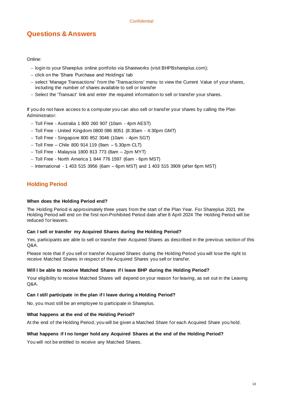Online:

- − login to your Shareplus online portfolio via Shareworks (visit BHPBshareplus.com);
- − click on the 'Share Purchase and Holdings' tab
- − select 'Manage Transactions' from the 'Transactions' menu to view the Current Value of your shares, including the number of shares available to sell or transfer
- − Select the 'Transact' link and enter the required information to sell or transfer your shares.

If you do not have access to a computer you can also sell or transfer your shares by calling the Plan Administrator:

- − Toll Free Australia 1 800 260 907 (10am 4pm AEST)
- − Toll Free United Kingdom 0800 086 8051 (8:30am 4:30pm GMT)
- − Toll Free Singapore 800 852 3046 (10am 4pm SGT)
- − Toll Free Chile 800 914 119 (9am 5.30pm CLT)
- − Toll Free Malaysia 1800 813 773 (8am 2pm MYT)
- − Toll Free North America 1 844 776 1597 (6am 6pm MST)
- − International 1 403 515 3956 (6am 6pm MST) and 1 403 515 3909 (after 6pm MST)

## <span id="page-12-0"></span>**Holding Period**

## **When does the Holding Period end?**

The Holding Period is approximately three years from the start of the Plan Year. For Shareplus 2021 the Holding Period will end on the first non-Prohibited Period date after 8 April 2024 The Holding Period will be reduced for leavers.

## **Can I sell or transfer my Acquired Shares during the Holding Period?**

Yes, participants are able to sell or transfer their Acquired Shares as described in the previous section of this Q&A.

Please note that if you sell or transfer Acquired Shares during the Holding Period you will lose the right to receive Matched Shares in respect of the Acquired Shares you sell or transfer.

## **Will I be able to receive Matched Shares if I leave BHP during the Holding Period?**

Your eligibility to receive Matched Shares will depend on your reason for leaving, as set out in the Leaving Q&A.

## **Can I still participate in the plan if I leave during a Holding Period?**

No, you must still be an employee to participate in Shareplus.

## **What happens at the end of the Holding Period?**

At the end of the Holding Period, you will be given a Matched Share for each Acquired Share you hold.

## **What happens if I no longer hold any Acquired Shares at the end of the Holding Period?**

<span id="page-12-1"></span>You will not be entitled to receive any Matched Shares.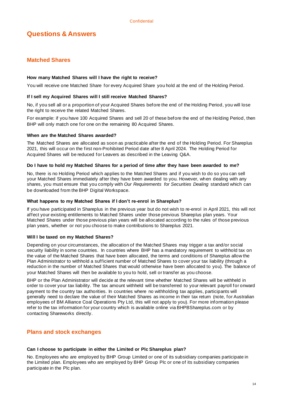## **Matched Shares**

## **How many Matched Shares will I have the right to receive?**

You will receive one Matched Share for every Acquired Share you hold at the end of the Holding Period.

## **If I sell my Acquired Shares will I still receive Matched Shares?**

No, if you sell all or a proportion of your Acquired Shares before the end of the Holding Period, you will lose the right to receive the related Matched Shares.

For example: if you have 100 Acquired Shares and sell 20 of these before the end of the Holding Period, then BHP will only match one for one on the remaining 80 Acquired Shares.

## **When are the Matched Shares awarded?**

The Matched Shares are allocated as soon as practicable after the end of the Holding Period. For Shareplus 2021, this will occur on the first non-Prohibited Period date after 8 April 2024. The Holding Period for Acquired Shares will be reduced for Leavers as described in the Leaving Q&A.

## **Do I have to hold my Matched Shares for a period of time after they have been awarded to me?**

No, there is no Holding Period which applies to the Matched Shares and if you wish to do so you can sell your Matched Shares immediately after they have been awarded to you. However, when dealing with any shares, you must ensure that you comply with *Our Requirements for Securities Dealing* standard which can be downloaded from the BHP Digital Workspace.

## **What happens to my Matched Shares if I don't re-enrol in Shareplus?**

If you have participated in Shareplus in the previous year but do not wish to re-enrol in April 2021, this will not affect your existing entitlements to Matched Shares under those previous Shareplus plan years. Your Matched Shares under those previous plan years will be allocated according to the rules of those previous plan years, whether or not you choose to make contributions to Shareplus 2021.

## **Will I be taxed on my Matched Shares?**

Depending on your circumstances, the allocation of the Matched Shares may trigger a tax and/or social security liability in some countries. In countries where BHP has a mandatory requirement to withhold tax on the value of the Matched Shares that have been allocated, the terms and conditions of Shareplus allow the Plan Administrator to withhold a sufficient number of Matched Shares to cover your tax liability (through a reduction in the number of Matched Shares that would otherwise have been allocated to you). The balance of your Matched Shares will then be available to you to hold, sell or transfer as you choose.

BHP or the Plan Administrator will decide at the relevant time whether Matched Shares will be withheld in order to cover your tax liability. The tax amount withheld will be transferred to your relevant payroll for onward payment to the country tax authorities. In countries where no withholding tax applies, participants will generally need to declare the value of their Matched Shares as income in their tax return (note, for Australian employees of BM Alliance Coal Operations Pty Ltd, this will not apply to you). For more information please refer to the tax information for your country which is available online via BHPBShareplus.com or by contacting Shareworks directly.

## <span id="page-13-0"></span>**Plans and stock exchanges**

## **Can I choose to participate in either the Limited or Plc Shareplus plan?**

No. Employees who are employed by BHP Group Limited or one of its subsidiary companies participate in the Limited plan. Employees who are employed by BHP Group Plc or one of its subsidiary companies participate in the Plc plan.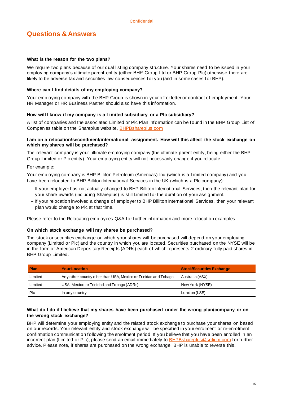## **What is the reason for the two plans?**

We require two plans because of our dual listing company structure. Your shares need to be issued in your employing company's ultimate parent entity (either BHP Group Ltd or BHP Group Plc) otherwise there are likely to be adverse tax and securities law consequences for you (and in some cases for BHP).

## **Where can I find details of my employing company?**

Your employing company with the BHP Group is shown in your offer letter or contract of employment. Your HR Manager or HR Business Partner should also have this information.

## **How will I know if my company is a Limited subsidiary or a Plc subsidiary?**

A list of companies and the associated Limited or Plc Plan information can be found in the BHP Group List of Companies table on the Shareplus website, [BHPBshareplus.com](http://www.bhpbshareplus.com/)

## **I am on a relocation/secondment/international assignment. How will this affect the stock exchange on which my shares will be purchased?**

The relevant company is your ultimate employing company (the ultimate parent entity, being either the BHP Group Limited or Plc entity). Your employing entity will not necessarily change if you relocate.

For example:

Your employing company is BHP Billiton Petroleum (Americas) Inc (which is a Limited company) and you have been relocated to BHP Billiton International Services in the UK (which is a Plc company):

- − If your employer has not actually changed to BHP Billiton International Services, then the relevant plan for your share awards (including Shareplus) is still Limited for the duration of your assignment.
- − If your relocation involved a change of employer to BHP Billiton International Services, then your relevant plan would change to Plc at that time.

Please refer to the Relocating employees Q&A for further information and more relocation examples.

## **On which stock exchange will my shares be purchased?**

The stock or securities exchange on which your shares will be purchased will depend on your employing company (Limited or Plc) and the country in which you are located. Securities purchased on the NYSE will be in the form of American Depositary Receipts (ADRs) each of which represents 2 ordinary fully paid shares in BHP Group Limited.

| <b>Plan</b> | <b>Your Location</b>                                            | <b>Stock/Securities Exchange</b> |
|-------------|-----------------------------------------------------------------|----------------------------------|
| Limited     | Any other country other than USA, Mexico or Trinidad and Tobago | Australia (ASX)                  |
| Limited     | USA, Mexico or Trinidad and Tobago (ADRs)                       | New York (NYSE)                  |
| Plc         | In any country                                                  | London (LSE)                     |

## **What do I do if I believe that my shares have been purchased under the wrong plan/company or on the wrong stock exchange?**

<span id="page-14-0"></span>BHP will determine your employing entity and the related stock exchange to purchase your shares on based on our records. Your relevant entity and stock exchange will be specified in your enrolment or re-enrolment confirmation communication following the enrolment period. If you believe that you have been enrolled in an incorrect plan (Limited or Plc), please send an email immediately to [BHPBshareplus@solium.com](mailto:BHPBshareplus@solium.com) for further advice. Please note, if shares are purchased on the wrong exchange, BHP is unable to reverse this.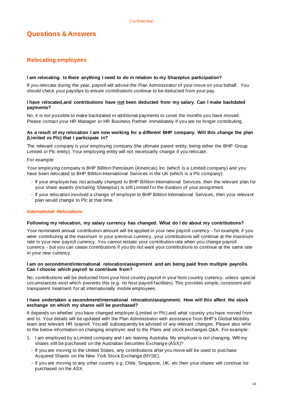## **Relocating employees**

## **I am relocating. Is there anything I need to do in relation to my Shareplus participation?**

If you relocate during the year, payroll will advise the Plan Administrator of your move on your behalf. You should check your payslips to ensure contributions continue to be deducted from your pay.

## **I have relocated,and contributions have not been deducted from my salary. Can I make backdated payments?**

No, it is not possible to make backdated or additional payments to cover the months you have missed. Please contact your HR Manager or HR Business Partner immediately if you are no longer contributing.

## **As a result of my relocation I am now working for a different BHP company. Will this change the plan (Limited vs Plc) that I participate in?**

The relevant company is your employing company (the ultimate parent entity, being either the BHP Group Limited or Plc entity). Your employing entity will not necessarily change if you relocate.

## For example:

Your employing company is BHP Billiton Petroleum (Americas) Inc (which is a Limited company) and you have been relocated to BHP Billiton International Services in the UK (which is a Plc company):

- − If your employer has not actually changed to BHP Billiton International Services, then the relevant plan for your share awards (including Shareplus) is still Limited for the duration of your assignment.
- − If your relocation involved a change of employer to BHP Billiton International Services, then your relevant plan would change to Plc at that time.

## *International Relocations*

## **Following my relocation, my salary currency has changed. What do I do about my contributions?**

Your nominated annual contribution amount will be applied in your new payroll currency - for example, if you were contributing at the maximum in your previous currency, your contributions will continue at the maximum rate in your new payroll currency. You cannot restate your contribution rate when you change payroll currency - but you can cease contributions if you do not want your contributions to continue at the same rate in your new currency.

## **I am on secondment/international relocation/assignment and am being paid from multiple payrolls. Can I choose which payroll to contribute from?**

No, contributions will be deducted from your host country payroll in your host country currency, unless special circumstances exist which prevents this (e.g. no host payroll facilities). This provides simple, consistent and transparent treatment for all internationally mobile employees.

## **I have undertaken a secondment/international relocation/assignment. How will this affect the stock exchange on which my shares will be purchased?**

It depends on whether you have changed employer (Limited or Plc) and what country you have moved from and to. Your details will be updated with the Plan Administrator with assistance from BHP's Global Mobility team and relevant HR /payroll. You will subsequently be advised of any relevant changes. Please also refer to the below information on changing employer, and to the Plans and stock exchanges Q&A. For example:

- 1. I am employed by a Limited company and I am leaving Australia. My employer is not changing. Will my shares still be purchased on the Australian Securities Exchange (ASX)?
	- − If you are moving to the United States, any contributions after you move will be used to purchase Acquired Shares on the New York Stock Exchange (NYSE).
	- − If you are moving to any other country e.g. Chile, Singapore, UK, etc then your shares will continue be purchased on the ASX.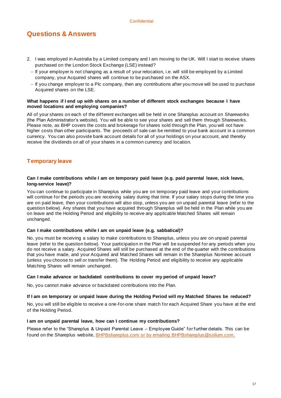- 2. I was employed in Australia by a Limited company and I am moving to the UK. Will I start to receive shares purchased on the London Stock Exchange (LSE) instead?
	- − If your employer is not changing as a result of your relocation, i.e. will still be employed by a Limited company, your Acquired shares will continue to be purchased on the ASX.
	- − If you change employer to a Plc company, then any contributions after you move will be used to purchase Acquired shares on the LSE.

## **What happens if I end up with shares on a number of different stock exchanges because I have moved locations and employing companies?**

All of your shares on each of the different exchanges will be held in one Shareplus account on Shareworks (the Plan Administrator's website). You will be able to see your shares and sell them through Shareworks. Please note, as BHP covers the costs and brokerage for shares sold through the Plan, you will not have higher costs than other participants. The proceeds of sale can be remitted to your bank account in a common currency. You can also provide bank account details for all of your holdings on your account, and thereby receive the dividends on all of your shares in a common currency and location.

## <span id="page-16-0"></span>**Temporary leave**

## **Can I make contributions while I am on temporary paid leave (e.g. paid parental leave, sick leave, long-service leave)?**

You can continue to participate in Shareplus while you are on temporary paid leave and your contributions will continue for the periods you are receiving salary during that time. If your salary stops during the time you are on paid leave, then your contributions will also stop, unless you are on unpaid parental leave (refer to the question below). Any shares that you have acquired through Shareplus will be held in the Plan while you are on leave and the Holding Period and eligibility to receive any applicable Matched Shares will remain unchanged.

## **Can I make contributions while I am on unpaid leave (e.g. sabbatical)?**

No, you must be receiving a salary to make contributions to Shareplus, unless you are on unpaid parental leave (refer to the question below). Your participation in the Plan will be suspended for any periods when you do not receive a salary. Acquired Shares will still be purchased at the end of the quarter with the contributions that you have made, and your Acquired and Matched Shares will remain in the Shareplus Nominee account (unless you choose to sell or transfer them). The Holding Period and eligibility to receive any applicable Matching Shares will remain unchanged.

## **Can I make advance or backdated contributions to cover my period of unpaid leave?**

No, you cannot make advance or backdated contributions into the Plan.

## **If I am on temporary or unpaid leave during the Holding Period will my Matched Shares be reduced?**

No, you will still be eligible to receive a one-for-one share match for each Acquired Share you have at the end of the Holding Period.

## **I am on unpaid parental leave, how can I continue my contributions?**

<span id="page-16-1"></span>Please refer to the "Shareplus & Unpaid Parental Leave – Employee Guide" for further details. This can be found on the Shareplus website[, BHPBshareplus.com](http://www.bhpbshareplus.com/) or by emailing [BHPBshareplus@solium.com.](mailto:BHPBshareplus@solium.com)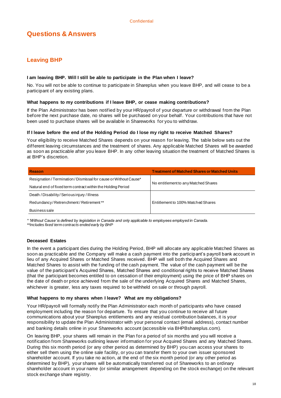## **Leaving BHP**

## **I am leaving BHP. Will I still be able to participate in the Plan when I leave?**

No. You will not be able to continue to participate in Shareplus when you leave BHP, and will cease to be a participant of any existing plans.

## **What happens to my contributions if I leave BHP, or cease making contributions?**

If the Plan Administrator has been notified by your HR/payroll of your departure or withdrawal from the Plan before the next purchase date, no shares will be purchased on your behalf. Your contributions that have not been used to purchase shares will be available in Shareworks for you to withdraw.

## **If I leave before the end of the Holding Period do I lose my right to receive Matched Shares?**

Your eligibility to receive Matched Shares depends on your reason for leaving. The table below sets out the different leaving circumstances and the treatment of shares. Any applicable Matched Shares will be awarded as soon as practicable after you leave BHP. In any other leaving situation the treatment of Matched Shares is at BHP's discretion.

| Reason                                                            | <b>Treatment of Matched Shares or Matched Units</b> |  |  |
|-------------------------------------------------------------------|-----------------------------------------------------|--|--|
| Resignation / Termination / Dismissal for cause or Without Cause* |                                                     |  |  |
| Natural end of fixed term contract within the Holding Period      | No entitlement to any Matched Shares                |  |  |
| Death / Disability / Serious injury / Illness                     |                                                     |  |  |
| Redundancy/Retrenchment/Retirement**                              | Entitlement to 100% Matched Shares                  |  |  |
| <b>Business sale</b>                                              |                                                     |  |  |

*\* 'Without Cause' is defined by legislation in Canada and only applicable to employees employed in Canada.*

*\*\*Includes fixed term contracts ended early by BHP* 

## **Deceased Estates**

In the event a participant dies during the Holding Period, BHP will allocate any applicable Matched Shares as soon as practicable and the Company will make a cash payment into the participant's payroll bank account in lieu of any Acquired Shares or Matched Shares received. BHP will sell both the Acquired Shares and Matched Shares to assist with the funding of the cash payment. The value of the cash payment will be the value of the participant's Acquired Shares, Matched Shares and conditional rights to receive Matched Shares (that the participant becomes entitled to on cessation of their employment) using the price of BHP shares on the date of death or price achieved from the sale of the underlying Acquired Shares and Matched Shares, whichever is greater, less any taxes required to be withheld on sale or through payroll.

## **What happens to my shares when I leave? What are my obligations?**

Your HR/payroll will formally notify the Plan Administrator each month of participants who have ceased employment including the reason for departure. To ensure that you continue to receive all future communications about your Shareplus entitlements and any residual contribution balances, it is your responsibility to update the Plan Administrator with your personal contact (email address), contact number and banking details online in your Shareworks account (accessible via BHPBshareplus.com).

On leaving BHP, your shares will remain in the Plan for a period of six months and you will receive a notification from Shareworks outlining leaver information for your Acquired Shares and any Matched Shares. During this six month period (or any other period as determined by BHP) you can access your shares to either sell them using the online sale facility, or you can transfer them to your own issuer sponsored shareholder account. If you take no action, at the end of the six month period (or any other period as determined by BHP), your shares will be automatically transferred out of Shareworks to an ordinary shareholder account in your name (or similar arrangement depending on the stock exchange) on the relevant stock exchange share registry.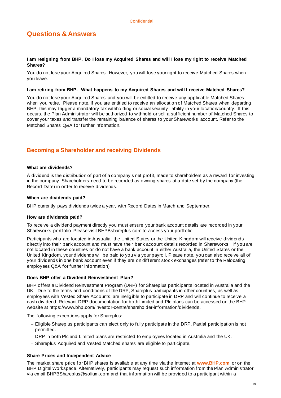## **I am resigning from BHP. Do I lose my Acquired Shares and will I lose my right to receive Matched Shares?**

You do not lose your Acquired Shares. However, you will lose your right to receive Matched Shares when you leave.

#### **I am retiring from BHP. What happens to my Acquired Shares and will I receive Matched Shares?**

You do not lose your Acquired Shares and you will be entitled to receive any applicable Matched Shares when you retire. Please note, if you are entitled to receive an allocation of Matched Shares when departing BHP, this may trigger a mandatory tax withholding or social security liability in your location/country. If this occurs, the Plan Administrator will be authorized to withhold or sell a sufficient number of Matched Shares to cover your taxes and transfer the remaining balance of shares to your Shareworks account. Refer to the Matched Shares Q&A for further information.

## <span id="page-18-0"></span>**Becoming a Shareholder and receiving Dividends**

#### **What are dividends?**

A dividend is the distribution of part of a company's net profit, made to shareholders as a reward for investing in the company. Shareholders need to be recorded as owning shares at a date set by the company (the Record Date) in order to receive dividends.

#### **When are dividends paid?**

BHP currently pays dividends twice a year, with Record Dates in March and September.

## **How are dividends paid?**

To receive a dividend payment directly you must ensure your bank account details are recorded in your Shareworks portfolio. Please visit BHPBshareplus.com to access your portfolio.

Participants who are located in Australia, the United States or the United Kingdom will receive dividends directly into their bank account and must have their bank account details recorded in Shareworks. If you are not located in these countires or do not have a bank account in either Australia, the United States or the United Kingdom, your dividends will be paid to you via your payroll. Please note, you can also receive all of your dividends in one bank account even if they are on different stock exchanges (refer to the Relocating employees Q&A for further information).

## **Does BHP offer a Dividend Reinvestment Plan?**

BHP offers a Dividend Reinvestment Program (DRP) for Shareplus participants located in Australia and the UK. Due to the terms and conditions of the DRP, Shareplus participants in other countries, as well as employees with Vested Share Accounts, are ineligible to participate in DRP and will continue to receive a cash dividend. Relevant DRP documentation for both Limited and Plc plans can be accessed on the BHP website at https://www.bhp.com/investor-centre/shareholder-information/dividends.

The following exceptions apply for Shareplus:

- − Eligible Shareplus participants can elect only to fully participate in the DRP. Partial participation is not permitted.
- − DRP in both Plc and Limited plans are restricted to employees located in Australia and the UK.
- − Shareplus Acquired and Vested Matched shares are eligible to participate.

## **Share Prices and Independent Advice**

The market share price for BHP shares is available at any time via the internet at **[www.BHP.com](file:///C:/Users/telfh/Desktop/Enrolment/2018/Comms/Documents%20for%20Translation/2.%20Participant%20Guide/www.BHP.com)** or on the BHP Digital Workspace. Alternatively, participants may request such information from the Plan Adminis trator via email BHPBShareplus@solium.com and that information will be provided to a participant within a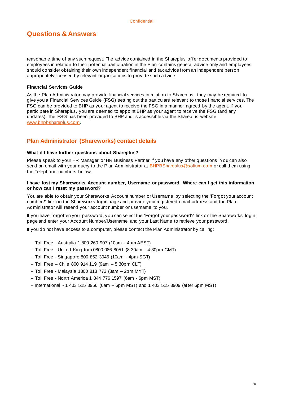reasonable time of any such request. The advice contained in the Shareplus offer documents provided to employees in relation to their potential participation in the Plan contains general advice only and employees should consider obtaining their own independent financial and tax advice from an independent person appropriately licensed by relevant organisations to provide such advice.

## **Financial Services Guide**

As the Plan Administrator may provide financial services in relation to Shareplus, they may be required to give you a Financial Services Guide (**FSG**) setting out the particulars relevant to those financial services. The FSG can be provided to BHP as your agent to receive the FSG in a manner agreed by the agent. If you participate in Shareplus, you are deemed to appoint BHP as your agent to receive the FSG (and any updates). The FSG has been provided to BHP and is accessible via the Shareplus website [www.bhpbshareplus.com.](http://www.bhpbshareplus.com/)

## <span id="page-19-0"></span>**Plan Administrator (Shareworks) contact details**

## **What if I have further questions about Shareplus?**

Please speak to your HR Manager or HR Business Partner if you have any other questions. You can also send an email with your query to the Plan Administrator a[t BHPBShareplus@solium.com](mailto:BHPBShareplus@solium.com) or call them using the Telephone numbers below.

## **I have lost my Shareworks Account number, Username or password. Where can I get this information or how can I reset my password?**

You are able to obtain your Shareworks Account number or Username by selecting the 'Forgot your account number?' link on the Shareworks login page and provide your registered email address and the Plan Administrator will resend your account number or username to you.

If you have forgotten your password, you can select the 'Forgot your password?' link on the Shareworks login page and enter your Account Number/Username and your Last Name to retrieve your password.

If you do not have access to a computer, please contact the Plan Administrator by calling:

- − Toll Free Australia 1 800 260 907 (10am 4pm AEST)
- − Toll Free United Kingdom 0800 086 8051 (8:30am 4:30pm GMT)
- − Toll Free Singapore 800 852 3046 (10am 4pm SGT)
- − Toll Free Chile 800 914 119 (9am 5.30pm CLT)
- − Toll Free Malaysia 1800 813 773 (8am 2pm MYT)
- − Toll Free North America 1 844 776 1597 (6am 6pm MST)
- − International 1 403 515 3956 (6am 6pm MST) and 1 403 515 3909 (after 6pm MST)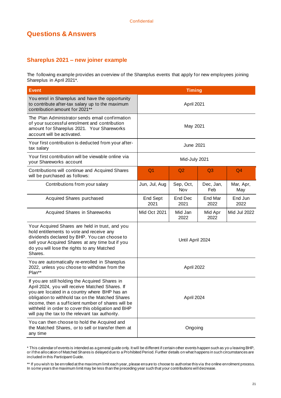## <span id="page-20-0"></span>**Shareplus 2021 – new joiner example**

The following example provides an overview of the Shareplus events that apply for new employees joining Shareplus in April 2021\*.

| <b>Event</b>                                                                                                                                                                                                                                                                                                                                                           | <b>Timing</b>                                  |  |                  |                  |
|------------------------------------------------------------------------------------------------------------------------------------------------------------------------------------------------------------------------------------------------------------------------------------------------------------------------------------------------------------------------|------------------------------------------------|--|------------------|------------------|
| You enrol in Shareplus and have the opportunity<br>to contribute after-tax salary up to the maximum<br>contribution amount for 2021**                                                                                                                                                                                                                                  | April 2021                                     |  |                  |                  |
| The Plan Administrator sends email confirmation<br>of your successful enrolment and contribution<br>amount for Shareplus 2021. Your Shareworks<br>account will be activated.                                                                                                                                                                                           | May 2021                                       |  |                  |                  |
| Your first contribution is deducted from your after-<br>tax salary                                                                                                                                                                                                                                                                                                     | June 2021                                      |  |                  |                  |
| Your first contribution will be viewable online via<br>your Shareworks account                                                                                                                                                                                                                                                                                         | Mid-July 2021                                  |  |                  |                  |
| Contributions will continue and Acquired Shares<br>will be purchased as follows:                                                                                                                                                                                                                                                                                       | Q <sub>1</sub><br>Q2                           |  | Q <sub>3</sub>   | Q <sub>4</sub>   |
| Contributions from your salary                                                                                                                                                                                                                                                                                                                                         | Jun, Jul, Aug<br>Sep, Oct,<br>Nov              |  | Dec, Jan,<br>Feb | Mar, Apr,<br>May |
| Acquired Shares purchased                                                                                                                                                                                                                                                                                                                                              | End Sept<br>End Dec<br>2021<br>2021            |  | End Mar<br>2022  | End Jun<br>2022  |
| <b>Acquired Shares in Shareworks</b>                                                                                                                                                                                                                                                                                                                                   | <b>Mid Oct 2021</b><br>Mid Jan<br>2022<br>2022 |  | Mid Apr          | Mid Jul 2022     |
| Your Acquired Shares are held in trust, and you<br>hold entitlements to vote and receive any<br>dividends declared by BHP. You can choose to<br>sell your Acquired Shares at any time but if you<br>do you will lose the rights to any Matched<br>Shares.                                                                                                              | Until April 2024                               |  |                  |                  |
| You are automatically re-enrolled in Shareplus<br>2022, unless you choose to withdraw from the<br>Plan**                                                                                                                                                                                                                                                               | April 2022                                     |  |                  |                  |
| If you are still holding the Acquired Shares in<br>April 2024, you will receive Matched Shares. If<br>you are located in a country where BHP has an<br>obligation to withhold tax on the Matched Shares<br>income, then a sufficient number of shares will be<br>withheld in order to cover this obligation and BHP<br>will pay the tax to the relevant tax authority. | April 2024                                     |  |                  |                  |
| You can then choose to hold the Acquired and<br>the Matched Shares, or to sell or transfer them at<br>any time                                                                                                                                                                                                                                                         | Ongoing                                        |  |                  |                  |

<sup>\*</sup> This calendar of events is intended as a general guide only. It will be different if certain other events happen such as yo u leaving BHP, or if the allocation of Matched Shares is delayed due to a Prohibited Period. Further details on what happens in such circumstances are included in this Participant Guide.

<sup>\*\*</sup> If you wish to be enrolled at the maximum limit each year, please ensure to choose to authorise this via the online enrolment process. In some years the maximum limit may be less than the preceding year such that your contributions will decrease.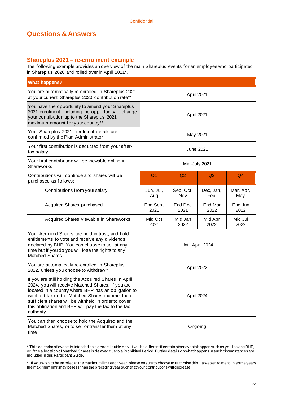## <span id="page-21-0"></span>**Shareplus 2021 – re-enrolment example**

The following example provides an overview of the main Shareplus events for an employee who participated in Shareplus 2020 and rolled over in April 2021\*.

| <b>What happens?</b>                                                                                                                                                                                                                                                                                                                             |                                                       |                 |                  |                  |  |  |
|--------------------------------------------------------------------------------------------------------------------------------------------------------------------------------------------------------------------------------------------------------------------------------------------------------------------------------------------------|-------------------------------------------------------|-----------------|------------------|------------------|--|--|
| You are automatically re-enrolled in Shareplus 2021<br>at your current Shareplus 2020 contribution rate**                                                                                                                                                                                                                                        | April 2021                                            |                 |                  |                  |  |  |
| You have the opportunity to amend your Shareplus<br>2021 enrolment, including the opportunity to change<br>your contribution up to the Shareplus 2021<br>maximum amount for your country**                                                                                                                                                       | April 2021                                            |                 |                  |                  |  |  |
| Your Shareplus 2021 enrolment details are<br>confirmed by the Plan Administrator                                                                                                                                                                                                                                                                 | May 2021                                              |                 |                  |                  |  |  |
| Your first contribution is deducted from your after-<br>tax salary                                                                                                                                                                                                                                                                               | June 2021                                             |                 |                  |                  |  |  |
| Your first contribution will be viewable online in<br>Shareworks                                                                                                                                                                                                                                                                                 | Mid-July 2021                                         |                 |                  |                  |  |  |
| Contributions will continue and shares will be<br>purchased as follows:                                                                                                                                                                                                                                                                          | Q <sub>1</sub>                                        | Q2              | Q <sub>3</sub>   | Q <sub>4</sub>   |  |  |
| Contributions from your salary                                                                                                                                                                                                                                                                                                                   | Sep, Oct,<br>Jun, Jul,<br>Nov<br>Aug                  |                 | Dec, Jan,<br>Feb | Mar, Apr,<br>May |  |  |
| Acquired Shares purchased                                                                                                                                                                                                                                                                                                                        | End Sept<br>2021                                      | End Dec<br>2021 | End Mar<br>2022  | End Jun<br>2022  |  |  |
| Acquired Shares viewable in Shareworks                                                                                                                                                                                                                                                                                                           | Mid Jan<br>Mid Oct<br>Mid Apr<br>2021<br>2022<br>2022 |                 |                  | Mid Jul<br>2022  |  |  |
| Your Acquired Shares are held in trust, and hold<br>entitlements to vote and receive any dividends<br>declared by BHP. You can choose to sell at any<br>time but if you do you will lose the rights to any<br><b>Matched Shares</b>                                                                                                              | Until April 2024                                      |                 |                  |                  |  |  |
| You are automatically re-enrolled in Shareplus<br>2022, unless you choose to withdraw**                                                                                                                                                                                                                                                          | April 2022                                            |                 |                  |                  |  |  |
| If you are still holding the Acquired Shares in April<br>2024, you will receive Matched Shares. If you are<br>located in a country where BHP has an obligation to<br>withhold tax on the Matched Shares income, then<br>sufficient shares will be withheld in order to cover<br>this obligation and BHP will pay the tax to the tax<br>authority | April 2024                                            |                 |                  |                  |  |  |
| You can then choose to hold the Acquired and the<br>Matched Shares, or to sell or transfer them at any<br>time                                                                                                                                                                                                                                   | Ongoing                                               |                 |                  |                  |  |  |

<sup>\*</sup> This calendar of events is intended as a general guide only. It will be different if certain other events happen such as you leaving BHP, or if the allocation of Matched Shares is delayed due to a Prohibited Period. Further details on what happens in such circumstances are included in this Participant Guide.

<sup>\*\*</sup> If you wish to be enrolled at the maximum limit each year, please ensure to choose to authorise this via web enrolment. In some years the maximum limit may be less than the preceding year such that your contributions will decrease.